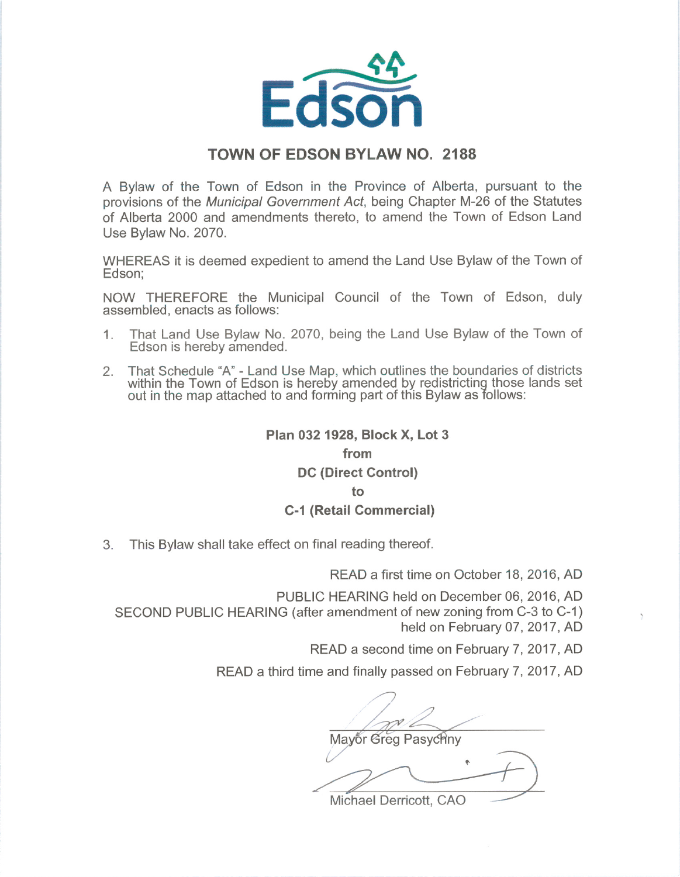

#### TOWN OF EDSON BYLAW NO. 2188

A Bylaw of the Town of Edson in the Province of Alberta, pursuant to the provisions of the Municipal Government Act, being Chapter M-26 of the Statutes of Alberta 2000 and amendments thereto, to amend the Town of Edson Land Use Bylaw No. 2070.

WHEREAS it is deemed expedient to amend the Land Use Bylaw of the Town of Edson:

NOW THEREFORE the Municipal Council of the Town of Edson, duly assembled, enacts as follows:

- 1. That Land Use Bylaw No. 2070, being the Land Use Bylaw of the Town of Edson is hereby amended.
- 2. That Schedule "A"- Land Use Map, which outlines the boundaries of districts within the Town of Edson is hereby amended by redistricting those lands set out in the map attached to and forming part of this Bylaw as follows:

# Plan 032 1928, Block X, Lot 3

## from

#### DC (Direct Control)

#### to

### C-1 (Retail Commercial)

3. This Bylaw shall take effect on final reading thereof.

READ a first time on October 18, 2016, AD

PUBLIC HEARING held on December 06, 2016, AD

SECOND PUBLIC HEARING (after amendment of new zoning from C-3 to C-1) held on February 07, 2017, AD

READ a second time on February 7, 2017, AD

READ a third time and finally passed on February 7, 2017, AD

7 / Mayor Greg Pasychny

 $\frac{1}{\sqrt{2}}$ 

Michael Derricott, CAO